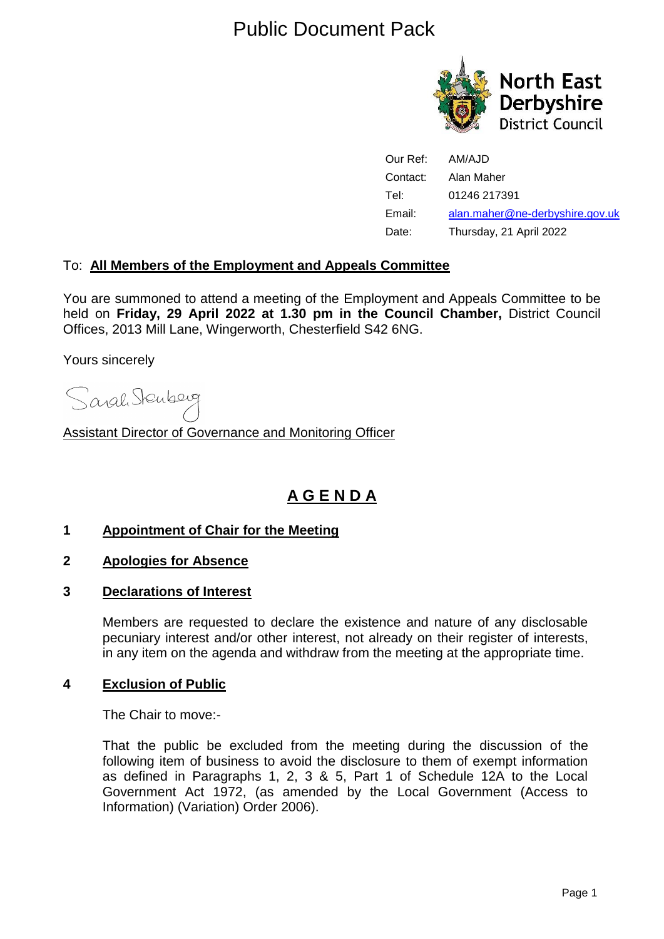# Public Document Pack



| Our Ref: | AM/AJD                          |
|----------|---------------------------------|
| Contact: | Alan Maher                      |
| Tel:     | 01246 217391                    |
| Email:   | alan.maher@ne-derbyshire.gov.uk |
| Date:    | Thursday, 21 April 2022         |

#### To: **All Members of the Employment and Appeals Committee**

You are summoned to attend a meeting of the Employment and Appeals Committee to be held on **Friday, 29 April 2022 at 1.30 pm in the Council Chamber,** District Council Offices, 2013 Mill Lane, Wingerworth, Chesterfield S42 6NG.

Yours sincerely

Sarah Stenberg

Assistant Director of Governance and Monitoring Officer

## **A G E N D A**

#### **1 Appointment of Chair for the Meeting**

- **2 Apologies for Absence**
- **3 Declarations of Interest**

Members are requested to declare the existence and nature of any disclosable pecuniary interest and/or other interest, not already on their register of interests, in any item on the agenda and withdraw from the meeting at the appropriate time.

#### **4 Exclusion of Public**

The Chair to move:-

That the public be excluded from the meeting during the discussion of the following item of business to avoid the disclosure to them of exempt information as defined in Paragraphs 1, 2, 3 & 5, Part 1 of Schedule 12A to the Local Government Act 1972, (as amended by the Local Government (Access to Information) (Variation) Order 2006).